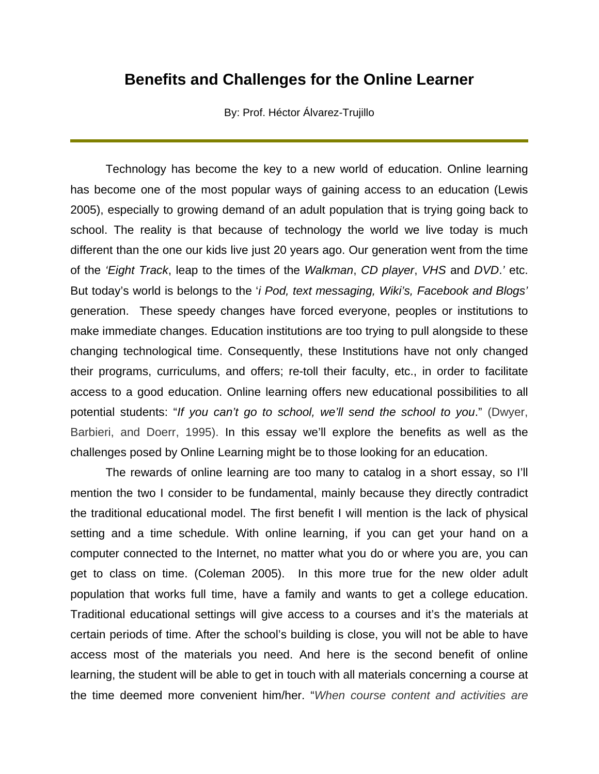## **Benefits and Challenges for the Online Learner**

By: Prof. Héctor Álvarez-Trujillo

Technology has become the key to a new world of education. Online learning has become one of the most popular ways of gaining access to an education (Lewis 2005), especially to growing demand of an adult population that is trying going back to school. The reality is that because of technology the world we live today is much different than the one our kids live just 20 years ago. Our generation went from the time of the *'Eight Track*, leap to the times of the *Walkman*, *CD player*, *VHS* and *DVD*.*'* etc. But today's world is belongs to the '*i Pod, text messaging, Wiki's, Facebook and Blogs'* generation.These speedy changes have forced everyone, peoples or institutions to make immediate changes. Education institutions are too trying to pull alongside to these changing technological time. Consequently, these Institutions have not only changed their programs, curriculums, and offers; re-toll their faculty, etc., in order to facilitate access to a good education. Online learning offers new educational possibilities to all potential students: "*If you can't go to school, we'll send the school to you*." (Dwyer, Barbieri, and Doerr, 1995). In this essay we'll explore the benefits as well as the challenges posed by Online Learning might be to those looking for an education.

 The rewards of online learning are too many to catalog in a short essay, so I'll mention the two I consider to be fundamental, mainly because they directly contradict the traditional educational model. The first benefit I will mention is the lack of physical setting and a time schedule. With online learning, if you can get your hand on a computer connected to the Internet, no matter what you do or where you are, you can get to class on time. (Coleman 2005). In this more true for the new older adult population that works full time, have a family and wants to get a college education. Traditional educational settings will give access to a courses and it's the materials at certain periods of time. After the school's building is close, you will not be able to have access most of the materials you need. And here is the second benefit of online learning, the student will be able to get in touch with all materials concerning a course at the time deemed more convenient him/her. "*When course content and activities are*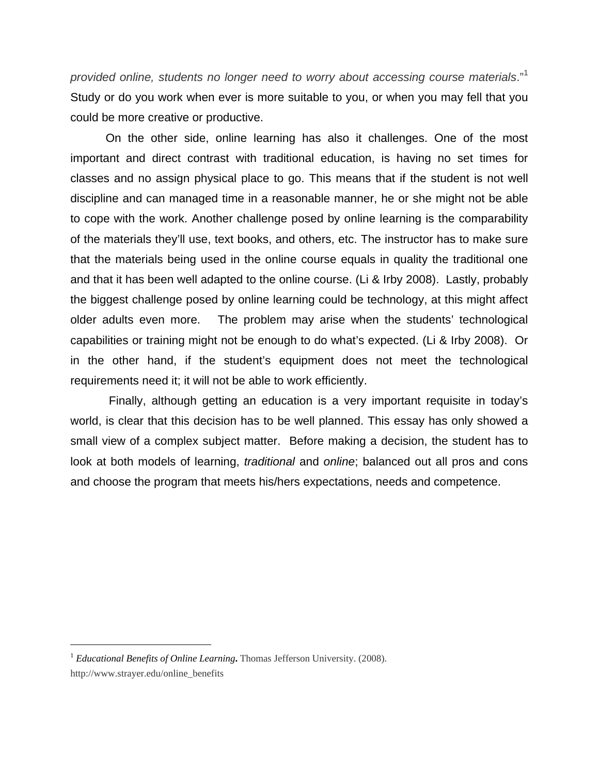*provided online, students no longer need to worry about accessing course materials*."<sup>1</sup> Study or do you work when ever is more suitable to you, or when you may fell that you could be more creative or productive.

On the other side, online learning has also it challenges. One of the most important and direct contrast with traditional education, is having no set times for classes and no assign physical place to go. This means that if the student is not well discipline and can managed time in a reasonable manner, he or she might not be able to cope with the work. Another challenge posed by online learning is the comparability of the materials they'll use, text books, and others, etc. The instructor has to make sure that the materials being used in the online course equals in quality the traditional one and that it has been well adapted to the online course. (Li & Irby 2008). Lastly, probably the biggest challenge posed by online learning could be technology, at this might affect older adults even more. The problem may arise when the students' technological capabilities or training might not be enough to do what's expected. (Li & Irby 2008). Or in the other hand, if the student's equipment does not meet the technological requirements need it; it will not be able to work efficiently.

 Finally, although getting an education is a very important requisite in today's world, is clear that this decision has to be well planned. This essay has only showed a small view of a complex subject matter. Before making a decision, the student has to look at both models of learning, *traditional* and *online*; balanced out all pros and cons and choose the program that meets his/hers expectations, needs and competence.

<sup>1</sup> *Educational Benefits of Online Learning***.** Thomas Jefferson University. (2008). http://www.strayer.edu/online\_benefits